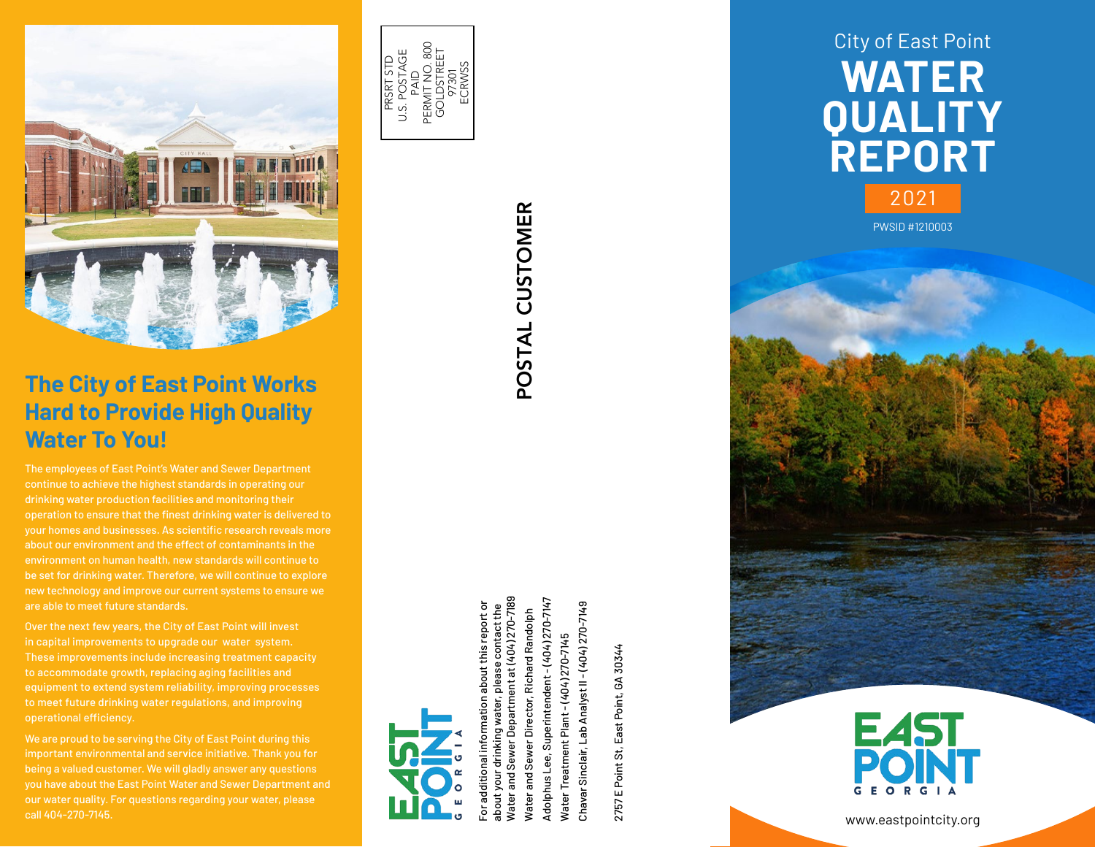

# **The City of East Point Works Hard to Provide High Quality Water To You!**

The employees of East Point's Water and Sewer Department continue to achieve the highest standards in operating our drinking water production facilities and monitoring their operation to ensure that the finest drinking water is delivered to your homes and businesses. As scientific research reveals more about our environment and the effect of contaminants in the environment on human health, new standards will continue to be set for drinking water. Therefore, we will continue to explore new technology and improve our current systems to ensure we are able to meet future standards.

Over the next few years, the City of East Point will invest in capital improvements to upgrade our water system. These improvements include increasing treatment capacity to accommodate growth, replacing aging facilities and equipment to extend system reliability, improving processes to meet future drinking water regulations, and improving operational efficiency.

We are proud to be serving the City of East Point during this important environmental and service initiative. Thank you for being a valued customer. We will gladly answer any questions you have about the East Point Water and Sewer Department and our water quality. For questions regarding your water, please call 404-270-7145.



POSTAL CUSTOMER POSTAL CUSTOMER POSTAL CUSTOMER

Water and Sewer Department at (404) 270-7189 Adolphus Lee, Superintendent - (404) 270-7147 Superintendent - (404) 270-7147 about your drinking water, please contact the Nater and Sewer Department at (404) 270-718 Water and Sewer Director, Richard Randolph Water and Sewer Director, Richard Randolph Water Treatment Plant - (404) 270-7145 Water Treatment Plant - (404) 270-7145 drinking water, Adolphus Lee,

For additional information about this report or

or additional about your

mation about this report or please contact the

2757 E Point St, East Point, GA 30344 2757 E Point St, East Point, GA 30344

Chavar Sinclair, Lab Analyst II - (404) 270-7149

Chavar Sinclair, Lab Analyst II - (404) 270-7149



PWSID #1210003



www.eastpointcity.org